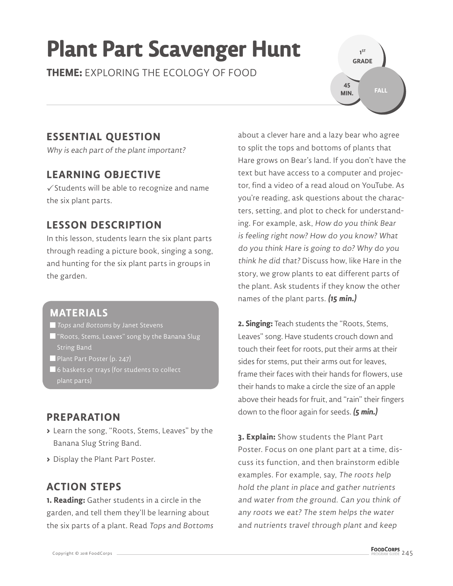# **Plant Part Scavenger Hunt**

**THEME:** EXPLORING THE ECOLOGY OF FOOD

**1 ST GRADE FALL 45 MIN.**

# **ESSENTIAL QUESTION**

Why is each part of the plant important?

## **LEARNING OBJECTIVE**

 $\checkmark$  Students will be able to recognize and name the six plant parts.

# **LESSON DESCRIPTION**

In this lesson, students learn the six plant parts through reading a picture book, singing a song, and hunting for the six plant parts in groups in the garden.

#### **MATERIALS**

Tops and Bottoms by Janet Stevens

- $\blacksquare$  "Roots, Stems, Leaves" song by the Banana Slug String Band
- Plant Part Poster (p. 247)
- $\blacksquare$  6 baskets or trays (for students to collect plant parts)

# **PREPARATION**

- **>** Learn the song, "Roots, Stems, Leaves" by the Banana Slug String Band.
- **>** Display the Plant Part Poster.

# **ACTION STEPS**

**1. Reading:** Gather students in a circle in the garden, and tell them they'll be learning about the six parts of a plant. Read Tops and Bottoms about a clever hare and a lazy bear who agree to split the tops and bottoms of plants that Hare grows on Bear's land. If you don't have the text but have access to a computer and projector, find a video of a read aloud on YouTube. As you're reading, ask questions about the characters, setting, and plot to check for understanding. For example, ask, How do you think Bear is feeling right now? How do you know? What do you think Hare is going to do? Why do you think he did that? Discuss how, like Hare in the story, we grow plants to eat different parts of the plant. Ask students if they know the other names of the plant parts. **(15 min.)**

**2. Singing:** Teach students the "Roots, Stems, Leaves" song. Have students crouch down and touch their feet for roots, put their arms at their sides for stems, put their arms out for leaves, frame their faces with their hands for flowers, use their hands to make a circle the size of an apple above their heads for fruit, and "rain" their fingers down to the floor again for seeds. **(5 min.)**

**3. Explain:** Show students the Plant Part Poster. Focus on one plant part at a time, discuss its function, and then brainstorm edible examples. For example, say, The roots help hold the plant in place and gather nutrients and water from the ground. Can you think of any roots we eat? The stem helps the water and nutrients travel through plant and keep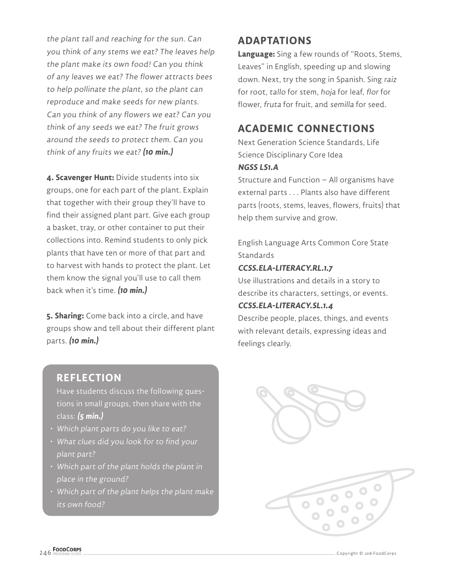the plant tall and reaching for the sun. Can you think of any stems we eat? The leaves help the plant make its own food! Can you think of any leaves we eat? The flower attracts bees to help pollinate the plant, so the plant can reproduce and make seeds for new plants. Can you think of any flowers we eat? Can you think of any seeds we eat? The fruit grows around the seeds to protect them. Can you think of any fruits we eat? **(10 min.)**

**4. Scavenger Hunt:** Divide students into six groups, one for each part of the plant. Explain that together with their group they'll have to find their assigned plant part. Give each group a basket, tray, or other container to put their collections into. Remind students to only pick plants that have ten or more of that part and to harvest with hands to protect the plant. Let them know the signal you'll use to call them back when it's time. **(10 min.)**

**5. Sharing:** Come back into a circle, and have groups show and tell about their different plant parts. **(10 min.)**

#### **REFLECTION**

Have students discuss the following questions in small groups, then share with the class: **(5 min.)**

- Which plant parts do you like to eat?
- What clues did you look for to find your plant part?
- Which part of the plant holds the plant in place in the ground?
- Which part of the plant helps the plant make its own food?

#### **ADAPTATIONS**

**Language:** Sing a few rounds of "Roots, Stems, Leaves" in English, speeding up and slowing down. Next, try the song in Spanish. Sing raiz for root, tallo for stem, hoja for leaf, flor for flower, fruta for fruit, and semilla for seed.

### **ACADEMIC CONNECTIONS**

Next Generation Science Standards, Life Science Disciplinary Core Idea

#### **NGSS LS1.A**

Structure and Function – All organisms have external parts . . . Plants also have different parts (roots, stems, leaves, flowers, fruits) that help them survive and grow.

English Language Arts Common Core State **Standards** 

#### **CCSS.ELA-LITERACY.RL.1.7**

Use illustrations and details in a story to describe its characters, settings, or events.

#### **CCSS.ELA-LITERACY.SL.1.4**

Describe people, places, things, and events with relevant details, expressing ideas and feelings clearly.